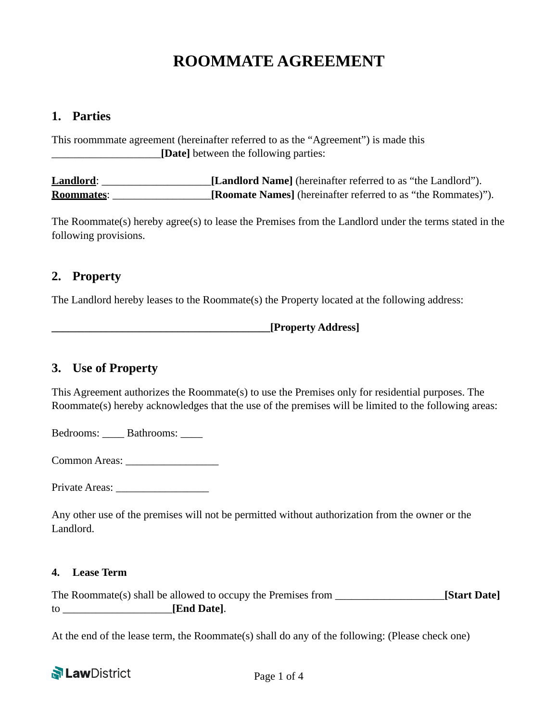# **ROOMMATE AGREEMENT**

#### **1. Parties**

This roommmate agreement (hereinafter referred to as the "Agreement") is made this \_\_\_\_\_\_\_\_\_\_\_\_\_\_\_\_\_\_\_\_**[Date]** between the following parties:

**Landlord**: **Landlord Name**] (hereinafter referred to as "the Landlord"). **Roommates**: \_\_\_\_\_\_\_\_\_\_\_\_\_\_\_\_\_\_**[Roomate Names]** (hereinafter referred to as "the Rommates)").

The Roommate(s) hereby agree(s) to lease the Premises from the Landlord under the terms stated in the following provisions.

# **2. Property**

The Landlord hereby leases to the Roommate(s) the Property located at the following address:

**\_\_\_\_\_\_\_\_\_\_\_\_\_\_\_\_\_\_\_\_\_\_\_\_\_\_\_\_\_\_\_\_\_\_\_\_\_\_\_\_[Property Address]** 

# **3. Use of Property**

This Agreement authorizes the Roommate(s) to use the Premises only for residential purposes. The Roommate(s) hereby acknowledges that the use of the premises will be limited to the following areas:

Bedrooms: Bathrooms:

Common Areas: \_\_\_\_\_\_\_\_\_\_\_\_\_\_\_\_\_

Private Areas:

Any other use of the premises will not be permitted without authorization from the owner or the Landlord.

#### **4. Lease Term**

The Roommate(s) shall be allowed to occupy the Premises from \_\_\_\_\_\_\_\_\_\_\_\_\_\_\_\_\_\_\_\_**[Start Date]** to \_\_\_\_\_\_\_\_\_\_\_\_\_\_\_\_\_\_\_\_**[End Date]**.

At the end of the lease term, the Roommate(s) shall do any of the following: (Please check one)

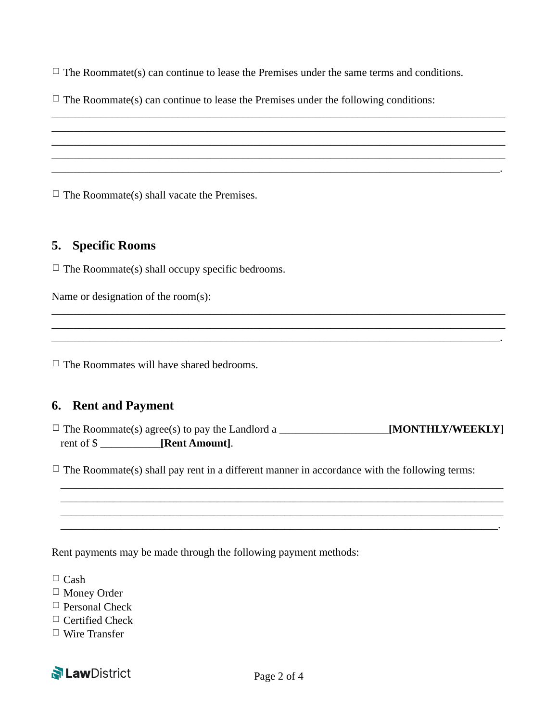$\Box$  The Roommatet(s) can continue to lease the Premises under the same terms and conditions.

\_\_\_\_\_\_\_\_\_\_\_\_\_\_\_\_\_\_\_\_\_\_\_\_\_\_\_\_\_\_\_\_\_\_\_\_\_\_\_\_\_\_\_\_\_\_\_\_\_\_\_\_\_\_\_\_\_\_\_\_\_\_\_\_\_\_\_\_\_\_\_\_\_\_\_\_\_\_\_\_\_\_\_ \_\_\_\_\_\_\_\_\_\_\_\_\_\_\_\_\_\_\_\_\_\_\_\_\_\_\_\_\_\_\_\_\_\_\_\_\_\_\_\_\_\_\_\_\_\_\_\_\_\_\_\_\_\_\_\_\_\_\_\_\_\_\_\_\_\_\_\_\_\_\_\_\_\_\_\_\_\_\_\_\_\_\_ \_\_\_\_\_\_\_\_\_\_\_\_\_\_\_\_\_\_\_\_\_\_\_\_\_\_\_\_\_\_\_\_\_\_\_\_\_\_\_\_\_\_\_\_\_\_\_\_\_\_\_\_\_\_\_\_\_\_\_\_\_\_\_\_\_\_\_\_\_\_\_\_\_\_\_\_\_\_\_\_\_\_\_ \_\_\_\_\_\_\_\_\_\_\_\_\_\_\_\_\_\_\_\_\_\_\_\_\_\_\_\_\_\_\_\_\_\_\_\_\_\_\_\_\_\_\_\_\_\_\_\_\_\_\_\_\_\_\_\_\_\_\_\_\_\_\_\_\_\_\_\_\_\_\_\_\_\_\_\_\_\_\_\_\_\_\_ \_\_\_\_\_\_\_\_\_\_\_\_\_\_\_\_\_\_\_\_\_\_\_\_\_\_\_\_\_\_\_\_\_\_\_\_\_\_\_\_\_\_\_\_\_\_\_\_\_\_\_\_\_\_\_\_\_\_\_\_\_\_\_\_\_\_\_\_\_\_\_\_\_\_\_\_\_\_\_\_\_\_.

 $\Box$  The Roommate(s) can continue to lease the Premises under the following conditions:

 $\Box$  The Roommate(s) shall vacate the Premises.

# **5. Specific Rooms**

 $\Box$  The Roommate(s) shall occupy specific bedrooms.

Name or designation of the room(s):

 $\Box$  The Roommates will have shared bedrooms.

# **6. Rent and Payment**

|            | $\Box$ The Roommate(s) agree(s) to pay the Landlord a | [MONTHLY/WEEKLY] |
|------------|-------------------------------------------------------|------------------|
| rent of \$ | [Rent Amount].                                        |                  |

\_\_\_\_\_\_\_\_\_\_\_\_\_\_\_\_\_\_\_\_\_\_\_\_\_\_\_\_\_\_\_\_\_\_\_\_\_\_\_\_\_\_\_\_\_\_\_\_\_\_\_\_\_\_\_\_\_\_\_\_\_\_\_\_\_\_\_\_\_\_\_\_\_\_\_\_\_\_\_\_\_ \_\_\_\_\_\_\_\_\_\_\_\_\_\_\_\_\_\_\_\_\_\_\_\_\_\_\_\_\_\_\_\_\_\_\_\_\_\_\_\_\_\_\_\_\_\_\_\_\_\_\_\_\_\_\_\_\_\_\_\_\_\_\_\_\_\_\_\_\_\_\_\_\_\_\_\_\_\_\_\_\_ \_\_\_\_\_\_\_\_\_\_\_\_\_\_\_\_\_\_\_\_\_\_\_\_\_\_\_\_\_\_\_\_\_\_\_\_\_\_\_\_\_\_\_\_\_\_\_\_\_\_\_\_\_\_\_\_\_\_\_\_\_\_\_\_\_\_\_\_\_\_\_\_\_\_\_\_\_\_\_\_\_ \_\_\_\_\_\_\_\_\_\_\_\_\_\_\_\_\_\_\_\_\_\_\_\_\_\_\_\_\_\_\_\_\_\_\_\_\_\_\_\_\_\_\_\_\_\_\_\_\_\_\_\_\_\_\_\_\_\_\_\_\_\_\_\_\_\_\_\_\_\_\_\_\_\_\_\_\_\_\_\_.

\_\_\_\_\_\_\_\_\_\_\_\_\_\_\_\_\_\_\_\_\_\_\_\_\_\_\_\_\_\_\_\_\_\_\_\_\_\_\_\_\_\_\_\_\_\_\_\_\_\_\_\_\_\_\_\_\_\_\_\_\_\_\_\_\_\_\_\_\_\_\_\_\_\_\_\_\_\_\_\_\_\_\_ \_\_\_\_\_\_\_\_\_\_\_\_\_\_\_\_\_\_\_\_\_\_\_\_\_\_\_\_\_\_\_\_\_\_\_\_\_\_\_\_\_\_\_\_\_\_\_\_\_\_\_\_\_\_\_\_\_\_\_\_\_\_\_\_\_\_\_\_\_\_\_\_\_\_\_\_\_\_\_\_\_\_\_ \_\_\_\_\_\_\_\_\_\_\_\_\_\_\_\_\_\_\_\_\_\_\_\_\_\_\_\_\_\_\_\_\_\_\_\_\_\_\_\_\_\_\_\_\_\_\_\_\_\_\_\_\_\_\_\_\_\_\_\_\_\_\_\_\_\_\_\_\_\_\_\_\_\_\_\_\_\_\_\_\_\_.

 $\Box$  The Roommate(s) shall pay rent in a different manner in accordance with the following terms:

Rent payments may be made through the following payment methods:

 $\Box$  Cash

☐ Money Order

 $\Box$  Personal Check

 $\Box$  Certified Check

☐ Wire Transfer

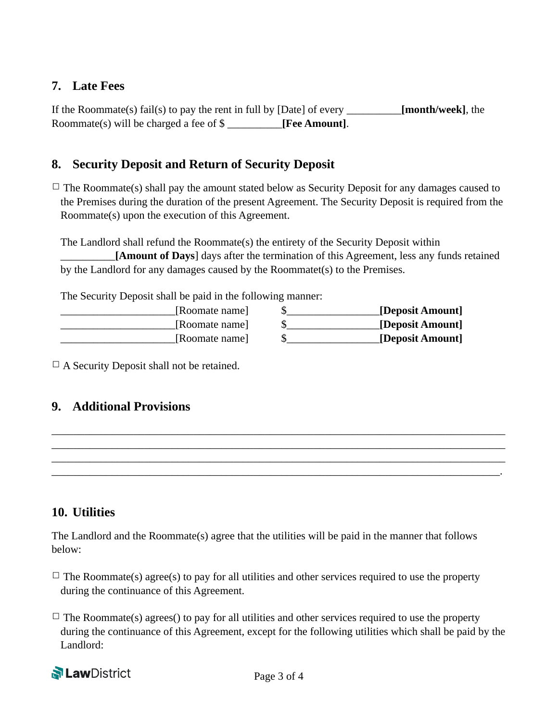# **7. Late Fees**

If the Roommate(s) fail(s) to pay the rent in full by [Date] of every \_\_\_\_\_\_\_\_\_\_**[month/week]**, the Roommate(s) will be charged a fee of \$ \_\_\_\_\_\_\_\_\_\_**[Fee Amount]**.

# **8. Security Deposit and Return of Security Deposit**

 $\Box$  The Roommate(s) shall pay the amount stated below as Security Deposit for any damages caused to the Premises during the duration of the present Agreement. The Security Deposit is required from the Roommate(s) upon the execution of this Agreement.

The Landlord shall refund the Roommate(s) the entirety of the Security Deposit within [Amount of Days] days after the termination of this Agreement, less any funds retained by the Landlord for any damages caused by the Roommatet(s) to the Premises.

The Security Deposit shall be paid in the following manner:

| [Deposit Amount] | [Roomate name] |
|------------------|----------------|
| [Deposit Amount] | [Roomate name] |
| [Deposit Amount] | [Roomate name] |

 $\Box$  A Security Deposit shall not be retained.

# **9. Additional Provisions**

| <u> 1980 - Jan James James James James James James James James James James James James James James James James J</u> |  |  |
|----------------------------------------------------------------------------------------------------------------------|--|--|
|                                                                                                                      |  |  |
|                                                                                                                      |  |  |
|                                                                                                                      |  |  |
|                                                                                                                      |  |  |
|                                                                                                                      |  |  |

# **10. Utilities**

The Landlord and the Roommate(s) agree that the utilities will be paid in the manner that follows below:

- $\Box$  The Roommate(s) agree(s) to pay for all utilities and other services required to use the property during the continuance of this Agreement.
- $\Box$  The Roommate(s) agrees() to pay for all utilities and other services required to use the property during the continuance of this Agreement, except for the following utilities which shall be paid by the Landlord: